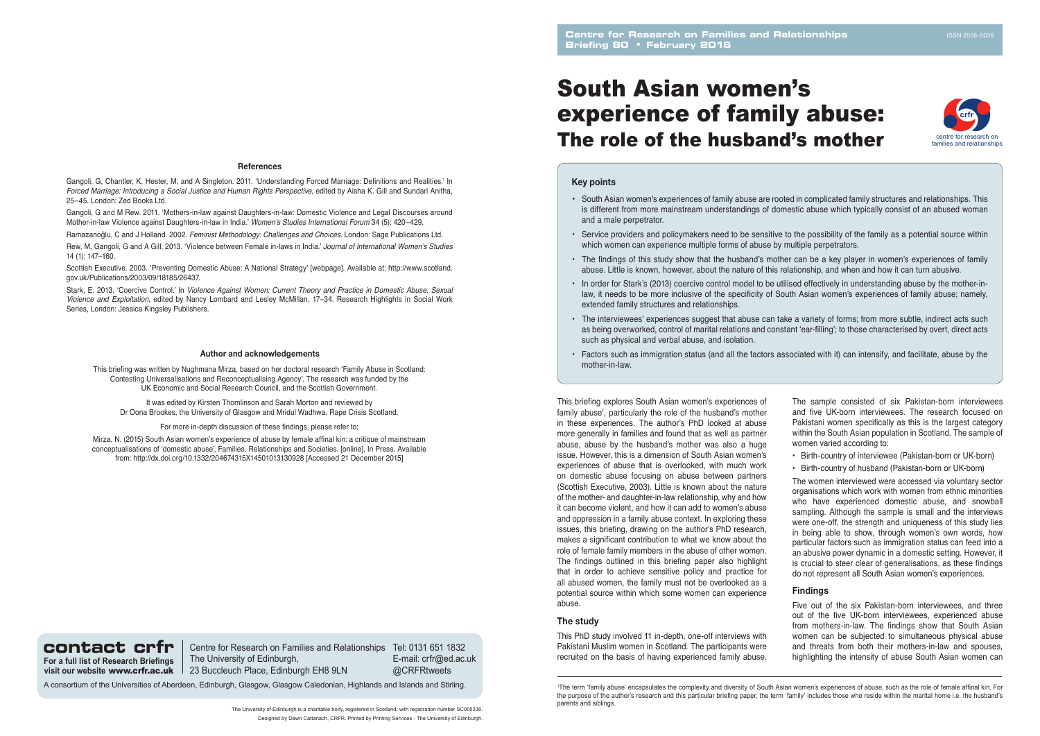# South Asian women's experience of family abuse: The role of the husband's mother

The University of Edinburgh is a charitable body, registered in Scotland, with registration number SC005336. Designed by Dawn Cattanach, CRFR. Printed by Printing Services - The University of Edinburgh. This briefing explores South Asian women's experiences of family abuse<sup>1</sup>, particularly the role of the husband's mother in these experiences. The author's PhD looked at abuse more generally in families and found that as well as partner abuse, abuse by the husband's mother was also a huge issue. However, this is a dimension of South Asian women's experiences of abuse that is overlooked, with much work on domestic abuse focusing on abuse between partners (Scottish Executive, 2003). Little is known about the nature of the mother- and daughter-in-law relationship, why and how it can become violent, and how it can add to women's abuse and oppression in a family abuse context. In exploring these issues, this briefing, drawing on the author's PhD research, makes a significant contribution to what we know about the role of female family members in the abuse of other women. The findings outlined in this briefing paper also highlight that in order to achieve sensitive policy and practice for all abused women, the family must not be overlooked as a potential source within which some women can experience abuse.

## **The study**

This PhD study involved 11 in-depth, one-off interviews with Pakistani Muslim women in Scotland. The participants were recruited on the basis of having experienced family abuse.

Rew, M, Gangoli, G and A Gill. 2013. 'Violence between Female in-laws in India.' Journal of International Women's Studies 14 (1): 147–160.

#### **Author and acknowledgements**

This briefing was written by Nughmana Mirza, based on her doctoral research 'Family Abuse in Scotland: Contesting Universalisations and Reconceptualising Agency'. The research was funded by the UK Economic and Social Research Council, and the Scottish Government.

It was edited by Kirsten Thomlinson and Sarah Morton and reviewed by Dr Oona Brookes, the University of Glasgow and Mridul Wadhwa, Rape Crisis Scotland.

For more in-depth discussion of these findings, please refer to:

Mirza, N. (2015) South Asian women's experience of abuse by female affinal kin: a critique of mainstream conceptualisations of 'domestic abuse', Families, Relationships and Societies. [online], In Press. Available from: http://dx.doi.org/10.1332/204674315X14501013130928 [Accessed 21 December 2015]

Gangoli, G, Chantler, K, Hester, M, and A Singleton. 2011. 'Understanding Forced Marriage: Definitions and Realities.' In *Forced Marriage: Introducing a Social Justice and Human Rights Perspective*, edited by Aisha K. Gill and Sundari Anitha, 25–45. London: Zed Books Ltd.

Gangoli, G and M Rew. 2011. 'Mothers-in-law against Daughters-in-law: Domestic Violence and Legal Discourses around Mother-in-law Violence against Daughters-in-law in India.' Women's Studies International Forum 34 (5): 420–429.

Ramazanoğlu, C and J Holland. 2002. *Feminist Methodology: Challenges and Choices*. London: Sage Publications Ltd.

Scottish Executive. 2003. 'Preventing Domestic Abuse: A National Strategy' [webpage]. Available at: http://www.scotland. gov.uk/Publications/2003/09/18185/26437.

**contact crfr** | Centre for Research on Families and Relationships Tel: 0131 651 1832 The University of Edinburgh, 23 Buccleuch Place, Edinburgh EH8 9LN

Stark, E. 2013. 'Coercive Control.' In *Violence Against Women: Current Theory and Practice in Domestic Abuse, Sexual Violence and Exploitation*, edited by Nancy Lombard and Lesley McMillan, 17–34. Research Highlights in Social Work Series, London: Jessica Kingsley Publishers.

#### **References**

is different from more mainstream understandings of domestic abuse which typically consist of an abused woman

- South Asian women's experiences of family abuse are rooted in complicated family structures and relationships. This and a male perpetrator.
- Service providers and policymakers need to be sensitive to the possibility of the family as a potential source within which women can experience multiple forms of abuse by multiple perpetrators.
- The findings of this study show that the husband's mother can be a key player in women's experiences of family abuse. Little is known, however, about the nature of this relationship, and when and how it can turn abusive.
- In order for Stark's (2013) coercive control model to be utilised effectively in understanding abuse by the mother-inlaw, it needs to be more inclusive of the specificity of South Asian women's experiences of family abuse; namely, extended family structures and relationships.
- The interviewees' experiences suggest that abuse can take a variety of forms; from more subtle, indirect acts such as being overworked, control of marital relations and constant 'ear-filling'; to those characterised by overt, direct acts such as physical and verbal abuse, and isolation.
- Factors such as immigration status (and all the factors associated with it) can intensify, and facilitate, abuse by the mother-in-law.

# **Key points**

The sample consisted of six Pakistan-born interviewees and five UK-born interviewees. The research focused on Pakistani women specifically as this is the largest category within the South Asian population in Scotland. The sample of women varied according to:

- Birth-country of interviewee (Pakistan-born or UK-born)
- Birth-country of husband (Pakistan-born or UK-born)

The women interviewed were accessed via voluntary sector organisations which work with women from ethnic minorities who have experienced domestic abuse, and snowball sampling. Although the sample is small and the interviews were one-off, the strength and uniqueness of this study lies in being able to show, through women's own words, how particular factors such as immigration status can feed into a an abusive power dynamic in a domestic setting. However, it is crucial to steer clear of generalisations, as these findings do not represent all South Asian women's experiences.

# **Findings**

Five out of the six Pakistan-born interviewees, and three out of the five UK-born interviewees, experienced abuse from mothers-in-law. The findings show that South Asian women can be subjected to simultaneous physical abuse and threats from both their mothers-in-law and spouses, highlighting the intensity of abuse South Asian women can

**For a full list of Research Briefings visit our website** www.crfr.ac.uk E-mail: crfr@ed.ac.uk @CRFRtweets

A consortium of the Universities of Aberdeen, Edinburgh, Glasgow, Glasgow Caledonian, Highlands and Islands and Stirling.



<sup>1</sup> The term 'family abuse' encapsulates the complexity and diversity of South Asian women's experiences of abuse, such as the role of female affinal kin. For the purpose of the author's research and this particular briefing paper, the term 'family' includes those who reside within the marital home i.e. the husband's parents and siblings.